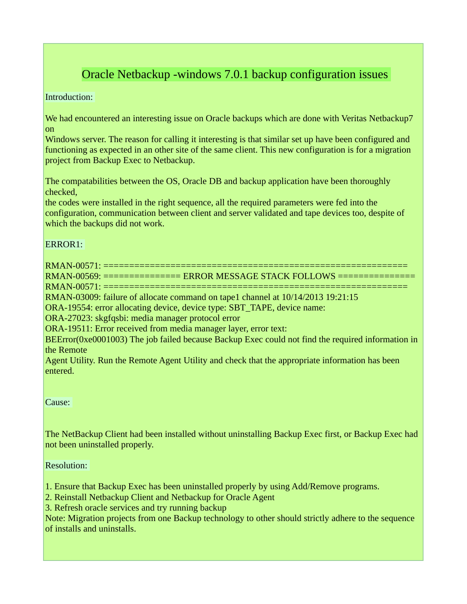# Oracle Netbackup -windows 7.0.1 backup configuration issues

Introduction:

We had encountered an interesting issue on Oracle backups which are done with Veritas Netbackup7 on

Windows server. The reason for calling it interesting is that similar set up have been configured and functioning as expected in an other site of the same client. This new configuration is for a migration project from Backup Exec to Netbackup.

The compatabilities between the OS, Oracle DB and backup application have been thoroughly checked,

the codes were installed in the right sequence, all the required parameters were fed into the configuration, communication between client and server validated and tape devices too, despite of which the backups did not work.

### ERROR1:

RMAN-00571: =========================================================== RMAN-00569: =============== ERROR MESSAGE STACK FOLLOWS =============== RMAN-00571: =========================================================== RMAN-03009: failure of allocate command on tape1 channel at 10/14/2013 19:21:15 ORA-19554: error allocating device, device type: SBT\_TAPE, device name: ORA-27023: skgfqsbi: media manager protocol error ORA-19511: Error received from media manager layer, error text: BEError(0xe0001003) The job failed because Backup Exec could not find the required information in the Remote

Agent Utility. Run the Remote Agent Utility and check that the appropriate information has been entered.

Cause:

The NetBackup Client had been installed without uninstalling Backup Exec first, or Backup Exec had not been uninstalled properly.

Resolution:

1. Ensure that Backup Exec has been uninstalled properly by using Add/Remove programs.

2. Reinstall Netbackup Client and Netbackup for Oracle Agent

3. Refresh oracle services and try running backup

Note: Migration projects from one Backup technology to other should strictly adhere to the sequence of installs and uninstalls.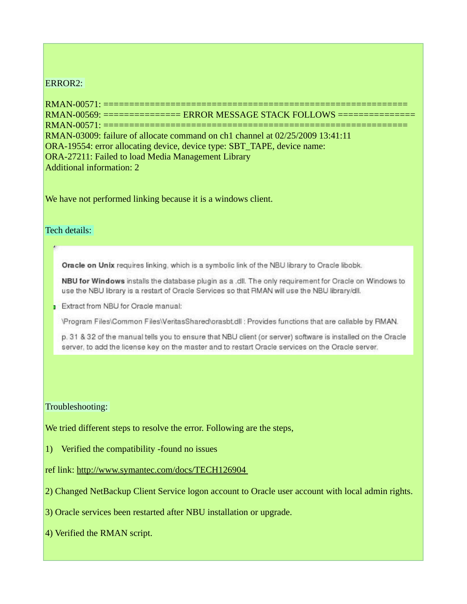#### ERROR2:

RMAN-00571: =========================================================== RMAN-00569: =============== ERROR MESSAGE STACK FOLLOWS ===============  $RMAN-00571: = == =$ RMAN-03009: failure of allocate command on ch1 channel at 02/25/2009 13:41:11 ORA-19554: error allocating device, device type: SBT\_TAPE, device name: ORA-27211: Failed to load Media Management Library Additional information: 2

We have not performed linking because it is a windows client.

#### Tech details:

Oracle on Unix requires linking, which is a symbolic link of the NBU library to Oracle libobk.

NBU for Windows installs the database plugin as a .dll. The only requirement for Oracle on Windows to use the NBU library is a restart of Oracle Services so that RMAN will use the NBU library/dll.

**Extract from NBU for Oracle manual:** 

\Program Files\Common Files\VeritasShared\orasbt.dll : Provides functions that are callable by RMAN.

p. 31 & 32 of the manual tells you to ensure that NBU client (or server) software is installed on the Oracle server, to add the license key on the master and to restart Oracle services on the Oracle server.

#### Troubleshooting:

We tried different steps to resolve the error. Following are the steps,

1) Verified the compatibility -found no issues

ref link: http://www.symantec.com/docs/TECH126904

2) Changed NetBackup Client Service logon account to Oracle user account with local admin rights.

3) Oracle services been restarted after NBU installation or upgrade.

4) Verified the RMAN script.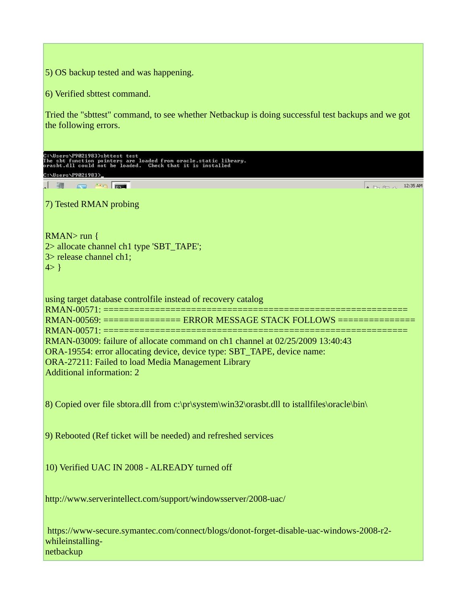5) OS backup tested and was happening. 6) Verified sbttest command. Tried the "sbttest" command, to see whether Netbackup is doing successful test backups and we got the following errors. ):\Users\P9021983>sbttest test<br>`he sbt function pointers are loaded from oracle.static library.<br>rasbt.dll could not be loaded. Check that it is installed C:\Users\P9021983> **All Manufacturer**  $\Box$  $\sim$  D<sub>n</sub>  $\approx$  12:35 AM 7) Tested RMAN probing RMAN> run { 2> allocate channel ch1 type 'SBT\_TAPE'; 3> release channel ch1;  $4 > \}$ using target database controlfile instead of recovery catalog RMAN-00571: ================================== RMAN-00569: =============== ERROR MESSAGE STACK FOLLOWS ===============  $RMAN-00571: == =$ RMAN-03009: failure of allocate command on ch1 channel at 02/25/2009 13:40:43 ORA-19554: error allocating device, device type: SBT\_TAPE, device name: ORA-27211: Failed to load Media Management Library Additional information: 2 8) Copied over file sbtora.dll from c:\pr\system\win32\orasbt.dll to istallfiles\oracle\bin\ 9) Rebooted (Ref ticket will be needed) and refreshed services 10) Verified UAC IN 2008 - ALREADY turned off http://www.serverintellect.com/support/windowsserver/2008-uac/ https://www-secure.symantec.com/connect/blogs/donot-forget-disable-uac-windows-2008-r2 whileinstallingnetbackup